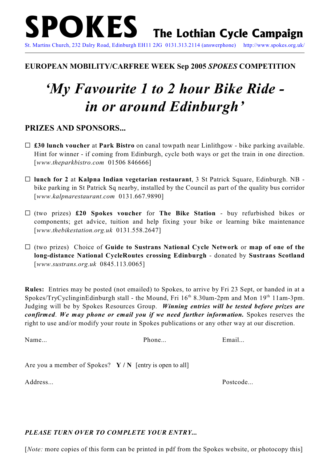#### **EUROPEAN MOBILITY/CARFREE WEEK Sep 2005** *SPOKES* **COMPETITION**

# *'My Favourite 1 to 2 hour Bike Ride in or around Edinburgh'*

### **PRIZES AND SPONSORS...**

- G **£30 lunch voucher** at **Park Bistro** on canal towpath near Linlithgow bike parking available. Hint for winner - if coming from Edinburgh, cycle both ways or get the train in one direction. [*www.theparkbistro.com* 01506 846666]
- G **lunch for 2** at **Kalpna Indian vegetarian restaurant**, 3 St Patrick Square, Edinburgh. NB bike parking in St Patrick Sq nearby, installed by the Council as part of the quality bus corridor [*www.kalpnarestaurant.com* 0131.667.9890]
- G (two prizes) **£20 Spokes voucher** for **The Bike Station**  buy refurbished bikes or components; get advice, tuition and help fixing your bike or learning bike maintenance [*www.thebikestation.org.uk* 0131.558.2647]
- G (two prizes) Choice of **Guide to Sustrans National Cycle Network** or **map of one of the long-distance National CycleRoutes crossing Edinburgh** - donated by **Sustrans Scotland** [*www.sustrans.org.uk* 0845.113.0065]

**Rules:** Entries may be posted (not emailed) to Spokes, to arrive by Fri 23 Sept, or handed in at a Spokes/TryCyclinginEdinburgh stall - the Mound, Fri  $16<sup>th</sup> 8.30$ am-2pm and Mon  $19<sup>th</sup> 11$ am-3pm. Judging will be by Spokes Resources Group. *Winning entries will be tested before prizes are confirmed*. *We may phone or email you if we need further information.* Spokes reserves the right to use and/or modify your route in Spokes publications or any other way at our discretion.

Name... Email... Phone... Phone... Email...

Are you a member of Spokes? **Y / N** [entry is open to all]

Address... Postcode...

#### *PLEASE TURN OVER TO COMPLETE YOUR ENTRY...*

[*Note:* more copies of this form can be printed in pdf from the Spokes website, or photocopy this]